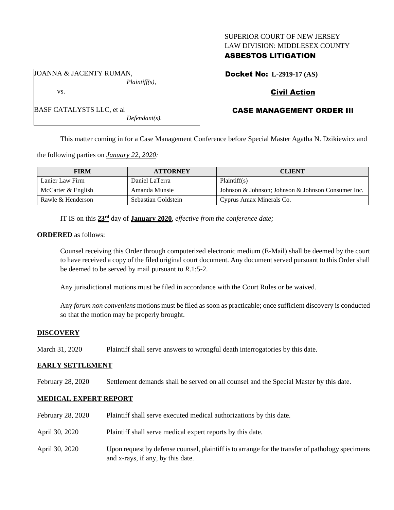## SUPERIOR COURT OF NEW JERSEY LAW DIVISION: MIDDLESEX COUNTY

## ASBESTOS LITIGATION

Docket No: **L-2919-17 (AS)**

# Civil Action

# CASE MANAGEMENT ORDER III

*Defendant(s).*

*Plaintiff(s),*

This matter coming in for a Case Management Conference before Special Master Agatha N. Dzikiewicz and

the following parties on *January 22, 2020:*

JOANNA & JACENTY RUMAN,

BASF CATALYSTS LLC, et al

vs.

| <b>FIRM</b>        | <b>ATTORNEY</b>     | <b>CLIENT</b>                                      |
|--------------------|---------------------|----------------------------------------------------|
| Lanier Law Firm    | Daniel LaTerra      | Plaintiff(s)                                       |
| McCarter & English | Amanda Munsie       | Johnson & Johnson; Johnson & Johnson Consumer Inc. |
| Rawle & Henderson  | Sebastian Goldstein | Cyprus Amax Minerals Co.                           |

IT IS on this **23rd** day of **January 2020**, *effective from the conference date;*

### **ORDERED** as follows:

Counsel receiving this Order through computerized electronic medium (E-Mail) shall be deemed by the court to have received a copy of the filed original court document. Any document served pursuant to this Order shall be deemed to be served by mail pursuant to *R*.1:5-2.

Any jurisdictional motions must be filed in accordance with the Court Rules or be waived.

Any *forum non conveniens* motions must be filed as soon as practicable; once sufficient discovery is conducted so that the motion may be properly brought.

## **DISCOVERY**

March 31, 2020 Plaintiff shall serve answers to wrongful death interrogatories by this date.

#### **EARLY SETTLEMENT**

February 28, 2020 Settlement demands shall be served on all counsel and the Special Master by this date.

## **MEDICAL EXPERT REPORT**

February 28, 2020 Plaintiff shall serve executed medical authorizations by this date. April 30, 2020 Plaintiff shall serve medical expert reports by this date. April 30, 2020 Upon request by defense counsel, plaintiff is to arrange for the transfer of pathology specimens and x-rays, if any, by this date.